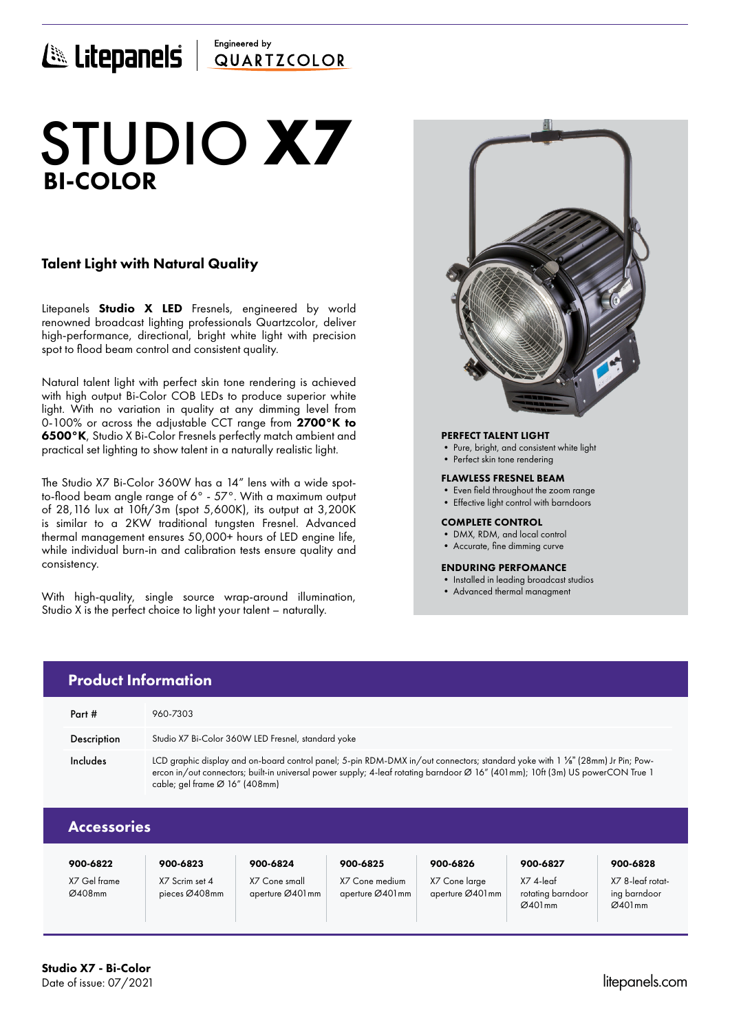## Engineered by E Litepanels QUARTICOLOR

# BI-COLOR STUDIO **X7**

## Talent Light with Natural Quality

Litepanels **Studio X LED** Fresnels, engineered by world renowned broadcast lighting professionals Quartzcolor, deliver high-performance, directional, bright white light with precision spot to flood beam control and consistent quality.

Natural talent light with perfect skin tone rendering is achieved with high output Bi-Color COB LEDs to produce superior white light. With no variation in quality at any dimming level from 0-100% or across the adjustable CCT range from 2700°K to 6500°K, Studio X Bi-Color Fresnels perfectly match ambient and practical set lighting to show talent in a naturally realistic light.

The Studio X7 Bi-Color 360W has a 14" lens with a wide spotto-flood beam angle range of 6° - 57°. With a maximum output of 28,116 lux at 10ft/3m (spot 5,600K), its output at 3,200K is similar to a 2KW traditional tungsten Fresnel. Advanced thermal management ensures 50,000+ hours of LED engine life, while individual burn-in and calibration tests ensure quality and consistency.

With high-quality, single source wrap-around illumination, Studio X is the perfect choice to light your talent – naturally.

> X7 Scrim set 4 pieces Ø408mm

X7 Cone small aperture Ø401mm



## PERFECT TALENT LIGHT

- Pure, bright, and consistent white light
- Perfect skin tone rendering

#### FLAWLESS FRESNEL BEAM

- Even field throughout the zoom range
- Effective light control with barndoors

#### COMPLETE CONTROL

- DMX, RDM, and local control
- Accurate, fine dimming curve

### ENDURING PERFOMANCE

• Installed in leading broadcast studios

X7 4-leaf rotating barndoor Ø401mm

• Advanced thermal managment

|                    | <b>Product Information</b>     |                                                    |          |                                                                                                                                                                                                                                                                  |          |          |
|--------------------|--------------------------------|----------------------------------------------------|----------|------------------------------------------------------------------------------------------------------------------------------------------------------------------------------------------------------------------------------------------------------------------|----------|----------|
| Part #             | 960-7303                       |                                                    |          |                                                                                                                                                                                                                                                                  |          |          |
| Description        |                                | Studio X7 Bi-Color 360W LED Fresnel, standard yoke |          |                                                                                                                                                                                                                                                                  |          |          |
| Includes           | cable; gel frame Ø 16" (408mm) |                                                    |          | LCD graphic display and on-board control panel; 5-pin RDM-DMX in/out connectors; standard yoke with 1 1/8" (28mm) Jr Pin; Pow-<br>ercon in/out connectors; built-in universal power supply; 4-leaf rotating barndoor Ø 16" (401mm); 10ft (3m) US powerCON True 1 |          |          |
| <b>Accessories</b> |                                |                                                    |          |                                                                                                                                                                                                                                                                  |          |          |
| 900-6822           | 900-6823                       | 900-6824                                           | 900-6825 | 900-6826                                                                                                                                                                                                                                                         | 900-6827 | 900-6828 |

X7 Cone medium aperture Ø401mm X7 Cone large aperture Ø401mm

Studio X7 - Bi-Color

X7 Gel frame Ø408mm

X7 8-leaf rotating barndoor  $Ø401mm$